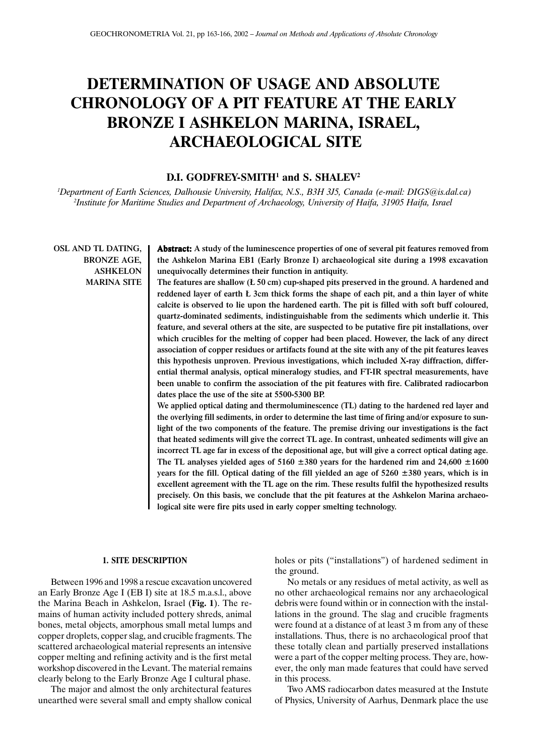# **DETERMINATION OF USAGE AND ABSOLUTE CHRONOLOGY OF A PIT FEATURE AT THE EARLY BRONZE I ASHKELON MARINA, ISRAEL, ARCHAEOLOGICAL SITE**

# **D.I. GODFREY-SMITH1 and S. SHALEV2**

*1 Department of Earth Sciences, Dalhousie University, Halifax, N.S., B3H 3J5, Canada (e-mail: DIGS@is.dal.ca) 2 Institute for Maritime Studies and Department of Archaeology, University of Haifa, 31905 Haifa, Israel*

OSL AND TL DATING, BRONZE AGE, ASHKELON MARINA SITE

Abstract: A study of the luminescence properties of one of several pit features removed from the Ashkelon Marina EB1 (Early Bronze I) archaeological site during a 1998 excavation unequivocally determines their function in antiquity.

The features are shallow (£ 50 cm) cup-shaped pits preserved in the ground. A hardened and reddened layer of earth £ 3cm thick forms the shape of each pit, and a thin layer of white calcite is observed to lie upon the hardened earth. The pit is filled with soft buff coloured, quartz-dominated sediments, indistinguishable from the sediments which underlie it. This feature, and several others at the site, are suspected to be putative fire pit installations, over which crucibles for the melting of copper had been placed. However, the lack of any direct association of copper residues or artifacts found at the site with any of the pit features leaves this hypothesis unproven. Previous investigations, which included X-ray diffraction, differential thermal analysis, optical mineralogy studies, and FT-IR spectral measurements, have been unable to confirm the association of the pit features with fire. Calibrated radiocarbon dates place the use of the site at 5500-5300 BP.

We applied optical dating and thermoluminescence (TL) dating to the hardened red layer and the overlying fill sediments, in order to determine the last time of firing and/or exposure to sunlight of the two components of the feature. The premise driving our investigations is the fact that heated sediments will give the correct TL age. In contrast, unheated sediments will give an incorrect TL age far in excess of the depositional age, but will give a correct optical dating age. The TL analyses yielded ages of 5160  $\pm$ 380 years for the hardened rim and 24,600  $\pm$ 1600 years for the fill. Optical dating of the fill yielded an age of  $5260 \pm 380$  years, which is in excellent agreement with the TL age on the rim. These results fulfil the hypothesized results precisely. On this basis, we conclude that the pit features at the Ashkelon Marina archaeological site were fire pits used in early copper smelting technology.

#### **1. SITE DESCRIPTION**

Between 1996 and 1998 a rescue excavation uncovered an Early Bronze Age I (EB I) site at 18.5 m.a.s.l., above the Marina Beach in Ashkelon, Israel (**Fig. 1**). The remains of human activity included pottery shreds, animal bones, metal objects, amorphous small metal lumps and copper droplets, copper slag, and crucible fragments. The scattered archaeological material represents an intensive copper melting and refining activity and is the first metal workshop discovered in the Levant. The material remains clearly belong to the Early Bronze Age I cultural phase.

The major and almost the only architectural features unearthed were several small and empty shallow conical holes or pits ("installations") of hardened sediment in the ground.

No metals or any residues of metal activity, as well as no other archaeological remains nor any archaeological debris were found within or in connection with the installations in the ground. The slag and crucible fragments were found at a distance of at least 3 m from any of these installations. Thus, there is no archaeological proof that these totally clean and partially preserved installations were a part of the copper melting process. They are, however, the only man made features that could have served in this process.

Two AMS radiocarbon dates measured at the Instute of Physics, University of Aarhus, Denmark place the use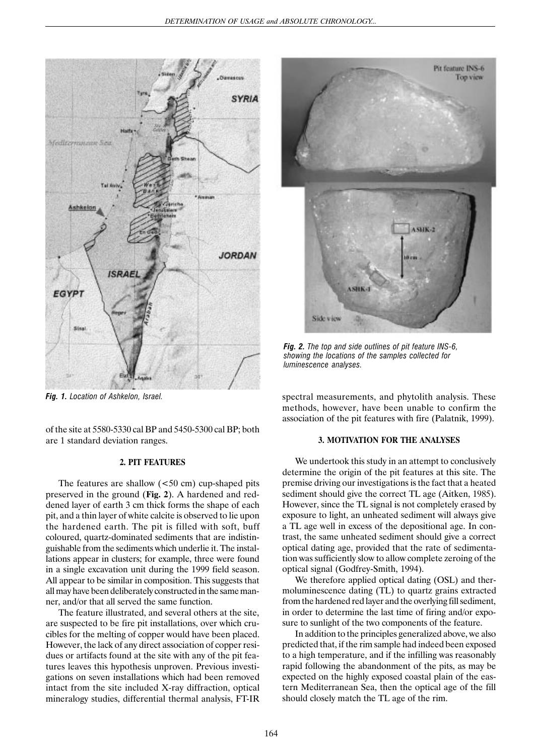

Pit feature INS-6 Top view ASHK-2 **ASHK** Side view

*Fig. 2. The top and side outlines of pit feature INS-6, showing the locations of the samples collected for luminescence analyses.*

*Fig. 1. Location of Ashkelon, Israel.*

of the site at 5580-5330 cal BP and 5450-5300 cal BP; both are 1 standard deviation ranges.

#### **2. PIT FEATURES**

The features are shallow  $(< 50 \text{ cm})$  cup-shaped pits preserved in the ground (**Fig. 2**). A hardened and reddened layer of earth 3 cm thick forms the shape of each pit, and a thin layer of white calcite is observed to lie upon the hardened earth. The pit is filled with soft, buff coloured, quartz-dominated sediments that are indistinguishable from the sediments which underlie it. The installations appear in clusters; for example, three were found in a single excavation unit during the 1999 field season. All appear to be similar in composition. This suggests that all may have been deliberately constructed in the same manner, and/or that all served the same function.

The feature illustrated, and several others at the site, are suspected to be fire pit installations, over which crucibles for the melting of copper would have been placed. However, the lack of any direct association of copper residues or artifacts found at the site with any of the pit features leaves this hypothesis unproven. Previous investigations on seven installations which had been removed intact from the site included X-ray diffraction, optical mineralogy studies, differential thermal analysis, FT-IR spectral measurements, and phytolith analysis. These methods, however, have been unable to confirm the association of the pit features with fire (Palatnik, 1999).

## **3. MOTIVATION FOR THE ANALYSES**

We undertook this study in an attempt to conclusively determine the origin of the pit features at this site. The premise driving our investigations is the fact that a heated sediment should give the correct TL age (Aitken, 1985). However, since the TL signal is not completely erased by exposure to light, an unheated sediment will always give a TL age well in excess of the depositional age. In contrast, the same unheated sediment should give a correct optical dating age, provided that the rate of sedimentation was sufficiently slow to allow complete zeroing of the optical signal (Godfrey-Smith, 1994).

We therefore applied optical dating (OSL) and thermoluminescence dating (TL) to quartz grains extracted from the hardened red layer and the overlying fill sediment, in order to determine the last time of firing and/or exposure to sunlight of the two components of the feature.

In addition to the principles generalized above, we also predicted that, if the rim sample had indeed been exposed to a high temperature, and if the infilling was reasonably rapid following the abandonment of the pits, as may be expected on the highly exposed coastal plain of the eastern Mediterranean Sea, then the optical age of the fill should closely match the TL age of the rim.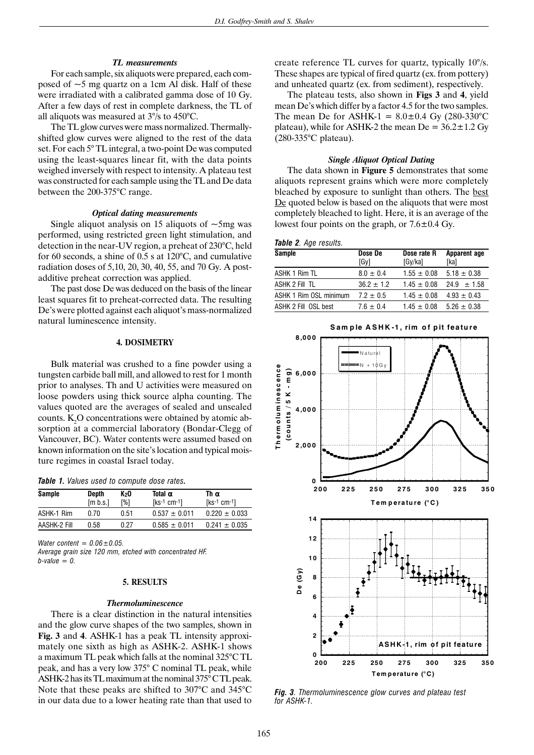### *TL measurements*

For each sample, six aliquots were prepared, each composed of  $\sim$ 5 mg quartz on a 1cm Al disk. Half of these were irradiated with a calibrated gamma dose of 10 Gy. After a few days of rest in complete darkness, the TL of all aliquots was measured at 3°/s to 450°C.

The TL glow curves were mass normalized. Thermallyshifted glow curves were aligned to the rest of the data set. For each 5° TL integral, a two-point De was computed using the least-squares linear fit, with the data points weighed inversely with respect to intensity. A plateau test was constructed for each sample using the TL and De data between the 200-375°C range.

### *Optical dating measurements*

Single aliquot analysis on 15 aliquots of  $\sim$ 5mg was performed, using restricted green light stimulation, and detection in the near-UV region, a preheat of 230°C, held for 60 seconds, a shine of 0.5 s at 120°C, and cumulative radiation doses of 5,10, 20, 30, 40, 55, and 70 Gy. A postadditive preheat correction was applied.

The past dose De was deduced on the basis of the linear least squares fit to preheat-corrected data. The resulting De's were plotted against each aliquot's mass-normalized natural luminescence intensity.

# **4. DOSIMETRY**

Bulk material was crushed to a fine powder using a tungsten carbide ball mill, and allowed to rest for 1 month prior to analyses. Th and U activities were measured on loose powders using thick source alpha counting. The values quoted are the averages of sealed and unsealed counts.  $K_2O$  concentrations were obtained by atomic absorption at a commercial laboratory (Bondar-Clegg of Vancouver, BC). Water contents were assumed based on known information on the site's location and typical moisture regimes in coastal Israel today.

|  |  |  |  |  | Table 1. Values used to compute dose rates. |  |  |
|--|--|--|--|--|---------------------------------------------|--|--|
|--|--|--|--|--|---------------------------------------------|--|--|

| <b>Sample</b> | Depth<br>[m b.s.] | K2O<br>[%] | Total $\alpha$<br>$[ks-1 cm-1]$ | Thα<br>$Ks-1$ cm-1] |
|---------------|-------------------|------------|---------------------------------|---------------------|
| ASHK-1 Rim    | 0.70              | 0.51       | $0.537 \pm 0.011$               | $0.220 \pm 0.033$   |
| AASHK-2 Fill  | 0.58              | 0.27       | $0.585 \pm 0.011$               | $0.241 \pm 0.035$   |

*Water content = 0.06±0.05.*

*Average grain size 120 mm, etched with concentrated HF. b-value = 0.*

#### **5. RESULTS**

#### *Thermoluminescence*

There is a clear distinction in the natural intensities and the glow curve shapes of the two samples, shown in **Fig. 3** and **4**. ASHK-1 has a peak TL intensity approximately one sixth as high as ASHK-2. ASHK-1 shows a maximum TL peak which falls at the nominal 325°C TL peak, and has a very low 375° C nominal TL peak, while ASHK-2 has its TL maximum at the nominal 375° C TL peak. Note that these peaks are shifted to 307°C and 345°C in our data due to a lower heating rate than that used to create reference TL curves for quartz, typically 10°/s. These shapes are typical of fired quartz (ex. from pottery) and unheated quartz (ex. from sediment), respectively.

The plateau tests, also shown in **Figs 3** and **4**, yield mean De's which differ by a factor 4.5 for the two samples. The mean De for ASHK-1 =  $8.0 \pm 0.4$  Gy (280-330°C) plateau), while for ASHK-2 the mean  $De = 36.2 \pm 1.2$  Gy (280-335°C plateau).

#### *Single Aliquot Optical Dating*

The data shown in **Figure 5** demonstrates that some aliquots represent grains which were more completely bleached by exposure to sunlight than others. The best De quoted below is based on the aliquots that were most completely bleached to light. Here, it is an average of the lowest four points on the graph, or 7.6±0.4 Gy.

| Table 2. Age results. |
|-----------------------|
|-----------------------|

| <b>Sample</b>          | Dose De        | Dose rate R     | Apparent age    |  |
|------------------------|----------------|-----------------|-----------------|--|
|                        | [Gv]           | [Gy/ka]         | [ka]            |  |
| ASHK 1 Rim TL          | $8.0 \pm 0.4$  | $1.55 \pm 0.08$ | $5.18 \pm 0.38$ |  |
| ASHK 2 Fill TL         | $36.2 \pm 1.2$ | $1.45 \pm 0.08$ | $24.9 \pm 1.58$ |  |
| ASHK 1 Rim OSL minimum | $7.2 \pm 0.5$  | $1.45 \pm 0.08$ | $4.93 \pm 0.43$ |  |
| ASHK 2 Fill OSL best   | $7.6 \pm 0.4$  | $1.45 \pm 0.08$ | $5.26 \pm 0.38$ |  |



*Fig. 3. Thermoluminescence glow curves and plateau test for ASHK-1.*